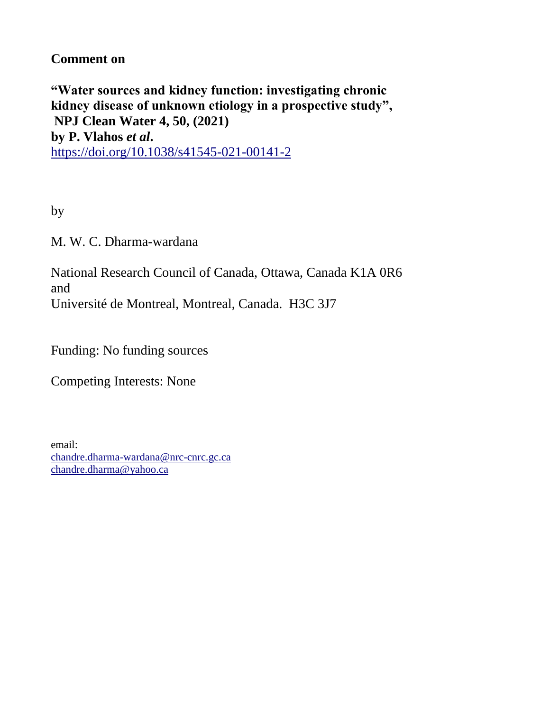## **Comment on**

**"Water sources and kidney function: investigating chronic kidney disease of unknown etiology in a prospective study", NPJ Clean Water 4, 50, (2021) by P. Vlahos** *et al***.** <https://doi.org/10.1038/s41545-021-00141-2>

by

M. W. C. Dharma-wardana

National Research Council of Canada, Ottawa, Canada K1A 0R6 and Université de Montreal, Montreal, Canada. H3C 3J7

Funding: No funding sources

Competing Interests: None

email: [chandre.dharma-wardana@nrc-cnrc.gc.ca](mailto:chandre.dharma-wardana@nrc-cnrc.gc.ca) [chandre.dharma@yahoo.ca](mailto:chandre.dharma@yahoo.ca)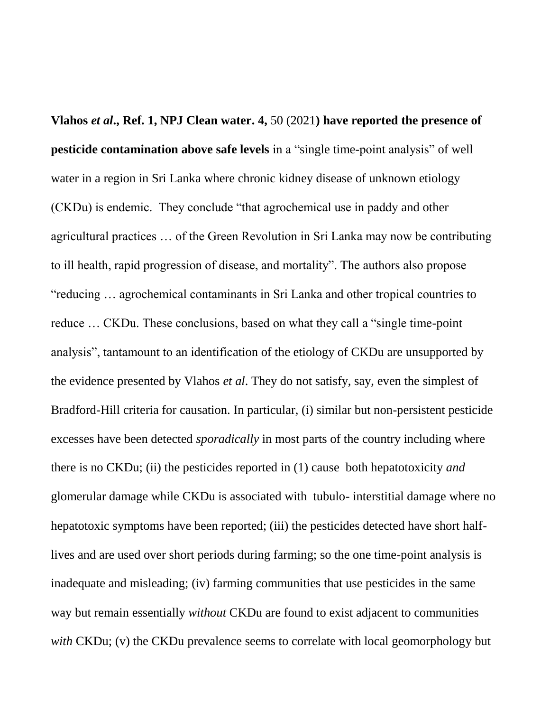**Vlahos** *et al***., Ref. 1, NPJ Clean water. 4,** 50 (2021**) have reported the presence of pesticide contamination above safe levels** in a "single time-point analysis" of well water in a region in Sri Lanka where chronic kidney disease of unknown etiology (CKDu) is endemic. They conclude "that agrochemical use in paddy and other agricultural practices … of the Green Revolution in Sri Lanka may now be contributing to ill health, rapid progression of disease, and mortality". The authors also propose "reducing … agrochemical contaminants in Sri Lanka and other tropical countries to reduce … CKDu. These conclusions, based on what they call a "single time-point analysis", tantamount to an identification of the etiology of CKDu are unsupported by the evidence presented by Vlahos *et al*. They do not satisfy, say, even the simplest of Bradford-Hill criteria for causation. In particular, (i) similar but non-persistent pesticide excesses have been detected *sporadically* in most parts of the country including where there is no CKDu; (ii) the pesticides reported in (1) cause both hepatotoxicity *and* glomerular damage while CKDu is associated with tubulo- interstitial damage where no hepatotoxic symptoms have been reported; (iii) the pesticides detected have short halflives and are used over short periods during farming; so the one time-point analysis is inadequate and misleading; (iv) farming communities that use pesticides in the same way but remain essentially *without* CKDu are found to exist adjacent to communities *with* CKDu; (v) the CKDu prevalence seems to correlate with local geomorphology but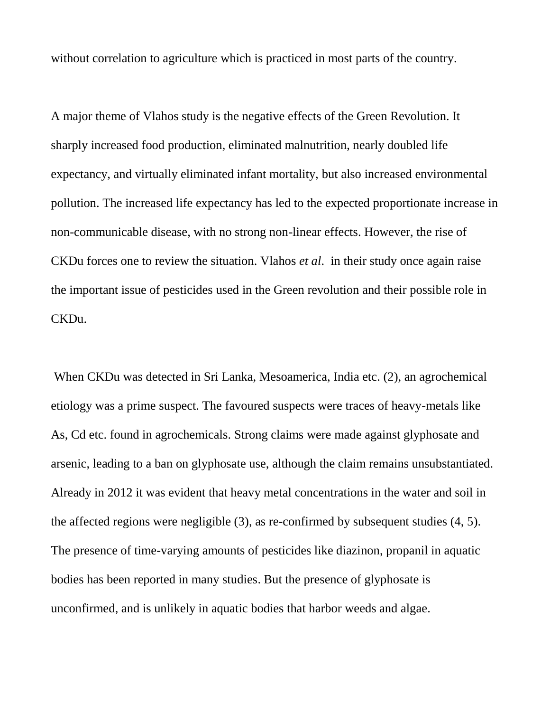without correlation to agriculture which is practiced in most parts of the country.

A major theme of Vlahos study is the negative effects of the Green Revolution. It sharply increased food production, eliminated malnutrition, nearly doubled life expectancy, and virtually eliminated infant mortality, but also increased environmental pollution. The increased life expectancy has led to the expected proportionate increase in non-communicable disease, with no strong non-linear effects. However, the rise of CKDu forces one to review the situation. Vlahos *et al*. in their study once again raise the important issue of pesticides used in the Green revolution and their possible role in CKDu.

When CKDu was detected in Sri Lanka, Mesoamerica, India etc. (2), an agrochemical etiology was a prime suspect. The favoured suspects were traces of heavy-metals like As, Cd etc. found in agrochemicals. Strong claims were made against glyphosate and arsenic, leading to a ban on glyphosate use, although the claim remains unsubstantiated. Already in 2012 it was evident that heavy metal concentrations in the water and soil in the affected regions were negligible (3), as re-confirmed by subsequent studies (4, 5). The presence of time-varying amounts of pesticides like diazinon, propanil in aquatic bodies has been reported in many studies. But the presence of glyphosate is unconfirmed, and is unlikely in aquatic bodies that harbor weeds and algae.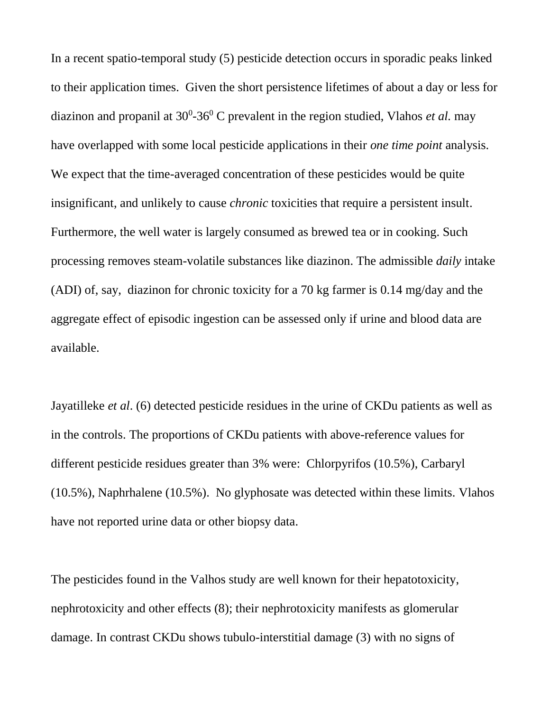In a recent spatio-temporal study (5) pesticide detection occurs in sporadic peaks linked to their application times. Given the short persistence lifetimes of about a day or less for diazinon and propanil at 30<sup>0</sup>-36<sup>0</sup> C prevalent in the region studied, Vlahos *et al.* may have overlapped with some local pesticide applications in their *one time point* analysis. We expect that the time-averaged concentration of these pesticides would be quite insignificant, and unlikely to cause *chronic* toxicities that require a persistent insult. Furthermore, the well water is largely consumed as brewed tea or in cooking. Such processing removes steam-volatile substances like diazinon. The admissible *daily* intake (ADI) of, say, diazinon for chronic toxicity for a 70 kg farmer is 0.14 mg/day and the aggregate effect of episodic ingestion can be assessed only if urine and blood data are available.

Jayatilleke *et al*. (6) detected pesticide residues in the urine of CKDu patients as well as in the controls. The proportions of CKDu patients with above-reference values for different pesticide residues greater than 3% were: Chlorpyrifos (10.5%), Carbaryl (10.5%), Naphrhalene (10.5%). No glyphosate was detected within these limits. Vlahos have not reported urine data or other biopsy data.

The pesticides found in the Valhos study are well known for their hepatotoxicity, nephrotoxicity and other effects (8); their nephrotoxicity manifests as glomerular damage. In contrast CKDu shows tubulo-interstitial damage (3) with no signs of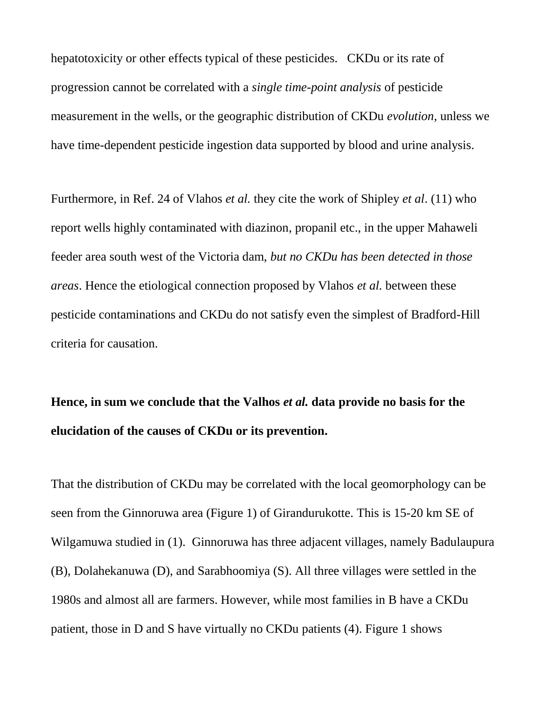hepatotoxicity or other effects typical of these pesticides. CKDu or its rate of progression cannot be correlated with a *single time-point analysis* of pesticide measurement in the wells, or the geographic distribution of CKDu *evolution*, unless we have time-dependent pesticide ingestion data supported by blood and urine analysis.

Furthermore, in Ref. 24 of Vlahos *et al.* they cite the work of Shipley *et al*. (11) who report wells highly contaminated with diazinon, propanil etc., in the upper Mahaweli feeder area south west of the Victoria dam, *but no CKDu has been detected in those areas*. Hence the etiological connection proposed by Vlahos *et al.* between these pesticide contaminations and CKDu do not satisfy even the simplest of Bradford-Hill criteria for causation.

## **Hence, in sum we conclude that the Valhos** *et al.* **data provide no basis for the elucidation of the causes of CKDu or its prevention.**

That the distribution of CKDu may be correlated with the local geomorphology can be seen from the Ginnoruwa area (Figure 1) of Girandurukotte. This is 15-20 km SE of Wilgamuwa studied in (1). Ginnoruwa has three adjacent villages, namely Badulaupura (B), Dolahekanuwa (D), and Sarabhoomiya (S). All three villages were settled in the 1980s and almost all are farmers. However, while most families in B have a CKDu patient, those in D and S have virtually no CKDu patients (4). Figure 1 shows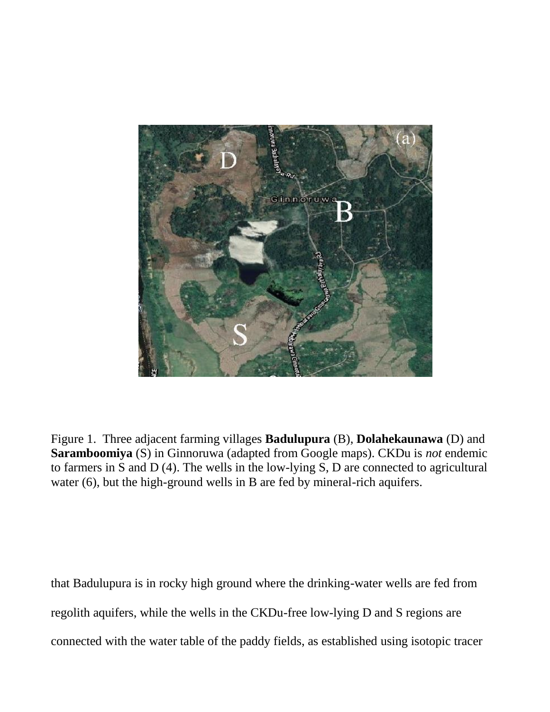

Figure 1. Three adjacent farming villages **Badulupura** (B), **Dolahekaunawa** (D) and **Saramboomiya** (S) in Ginnoruwa (adapted from Google maps). CKDu is *not* endemic to farmers in S and D (4). The wells in the low-lying S, D are connected to agricultural water (6), but the high-ground wells in B are fed by mineral-rich aquifers.

that Badulupura is in rocky high ground where the drinking-water wells are fed from regolith aquifers, while the wells in the CKDu-free low-lying D and S regions are connected with the water table of the paddy fields, as established using isotopic tracer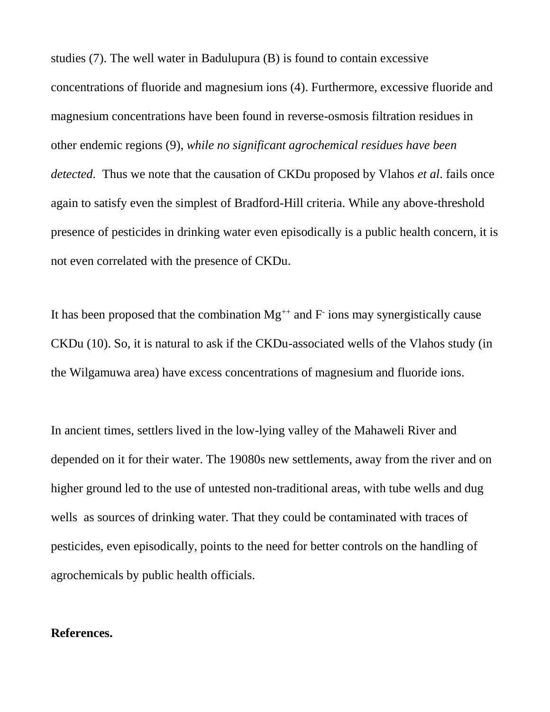studies (7). The well water in Badulupura (B) is found to contain excessive concentrations of fluoride and magnesium ions (4). Furthermore, excessive fluoride and magnesium concentrations have been found in reverse-osmosis filtration residues in other endemic regions (9), *while no significant agrochemical residues have been detected.* Thus we note that the causation of CKDu proposed by Vlahos *et al*. fails once again to satisfy even the simplest of Bradford-Hill criteria. While any above-threshold presence of pesticides in drinking water even episodically is a public health concern, it is not even correlated with the presence of CKDu.

It has been proposed that the combination  $Mg^{++}$  and  $F^-$  ions may synergistically cause CKDu (10). So, it is natural to ask if the CKDu-associated wells of the Vlahos study (in the Wilgamuwa area) have excess concentrations of magnesium and fluoride ions.

In ancient times, settlers lived in the low-lying valley of the Mahaweli River and depended on it for their water. The 19080s new settlements, away from the river and on higher ground led to the use of untested non-traditional areas, with tube wells and dug wells as sources of drinking water. That they could be contaminated with traces of pesticides, even episodically, points to the need for better controls on the handling of agrochemicals by public health officials.

## **References.**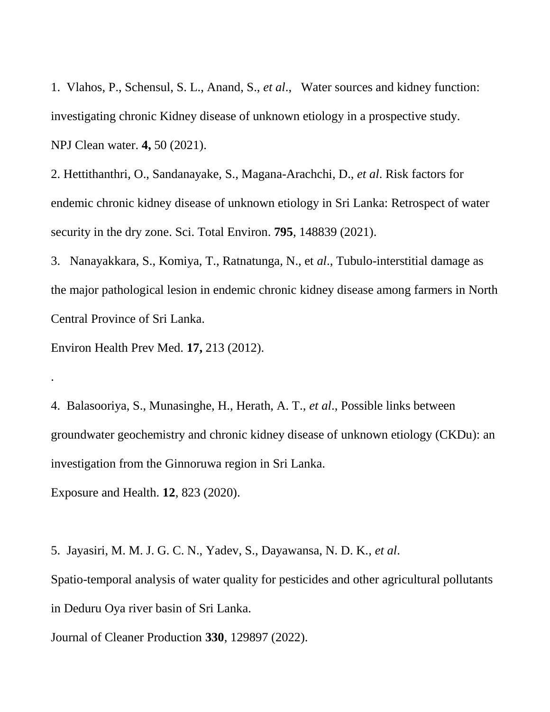1. Vlahos, P., Schensul, S. L., Anand, S., *et al*., Water sources and kidney function: investigating chronic Kidney disease of unknown etiology in a prospective study. NPJ Clean water. **4,** 50 (2021).

2. Hettithanthri, O., Sandanayake, S., Magana-Arachchi, D., *et al*. Risk factors for endemic chronic kidney disease of unknown etiology in Sri Lanka: Retrospect of water security in the dry zone. Sci. Total Environ. **795**, 148839 (2021).

3. Nanayakkara, S., Komiya, T., Ratnatunga, N., et *al*., Tubulo-interstitial damage as the major pathological lesion in endemic chronic kidney disease among farmers in North Central Province of Sri Lanka.

Environ Health Prev Med. **17,** 213 (2012).

.

4. Balasooriya, S., Munasinghe, H., Herath, A. T., *et al*., Possible links between groundwater geochemistry and chronic kidney disease of unknown etiology (CKDu): an investigation from the Ginnoruwa region in Sri Lanka.

Exposure and Health. **12**, 823 (2020).

5. Jayasiri, M. M. J. G. C. N., Yadev, S., Dayawansa, N. D. K., *et al*. Spatio-temporal analysis of water quality for pesticides and other agricultural pollutants in Deduru Oya river basin of Sri Lanka.

Journal of Cleaner Production **330**, 129897 (2022).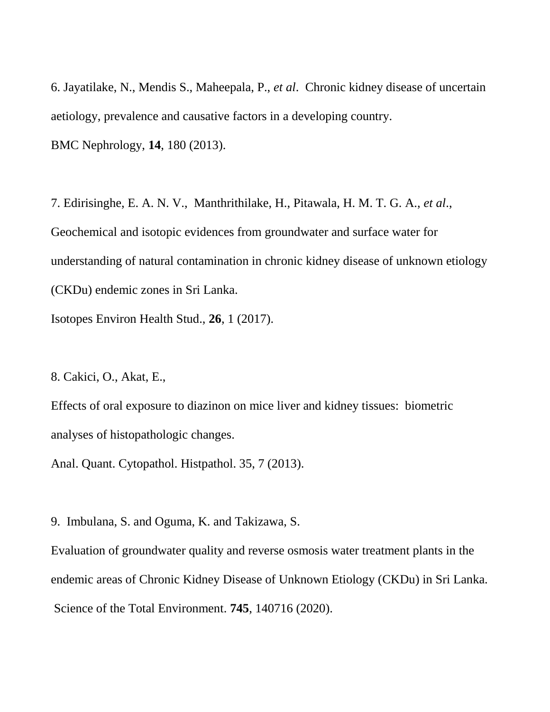6. Jayatilake, N., Mendis S., Maheepala, P., *et al*. Chronic kidney disease of uncertain aetiology, prevalence and causative factors in a developing country. BMC Nephrology, **14**, 180 (2013).

7. Edirisinghe, E. A. N. V., Manthrithilake, H., Pitawala, H. M. T. G. A., *et al*., Geochemical and isotopic evidences from groundwater and surface water for understanding of natural contamination in chronic kidney disease of unknown etiology (CKDu) endemic zones in Sri Lanka.

Isotopes Environ Health Stud., **26**, 1 (2017).

8. Cakici, O., Akat, E.,

Effects of oral exposure to diazinon on mice liver and kidney tissues: biometric analyses of histopathologic changes.

Anal. Quant. Cytopathol. Histpathol. 35, 7 (2013).

9. Imbulana, S. and Oguma, K. and Takizawa, S.

Evaluation of groundwater quality and reverse osmosis water treatment plants in the endemic areas of Chronic Kidney Disease of Unknown Etiology (CKDu) in Sri Lanka. Science of the Total Environment. **745**, 140716 (2020).